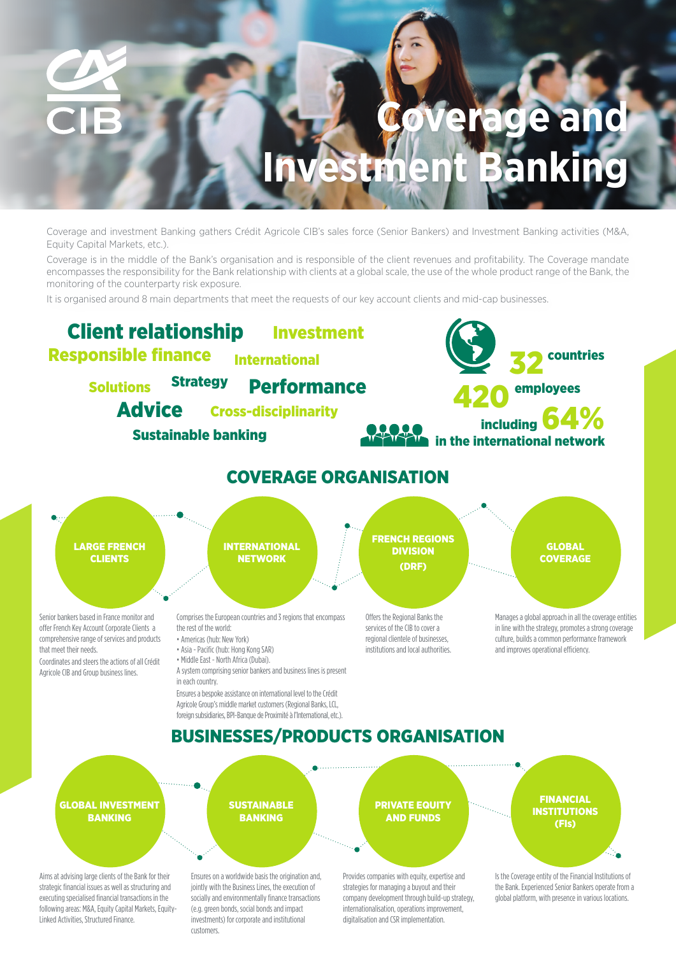# **Coverage and Investment Banking**

Coverage and investment Banking gathers Crédit Agricole CIB's sales force (Senior Bankers) and Investment Banking activities (M&A, Equity Capital Markets, etc.).

Coverage is in the middle of the Bank's organisation and is responsible of the client revenues and profitability. The Coverage mandate encompasses the responsibility for the Bank relationship with clients at a global scale, the use of the whole product range of the Bank, the monitoring of the counterparty risk exposure.

It is organised around 8 main departments that meet the requests of our key account clients and mid-cap businesses.



customers.